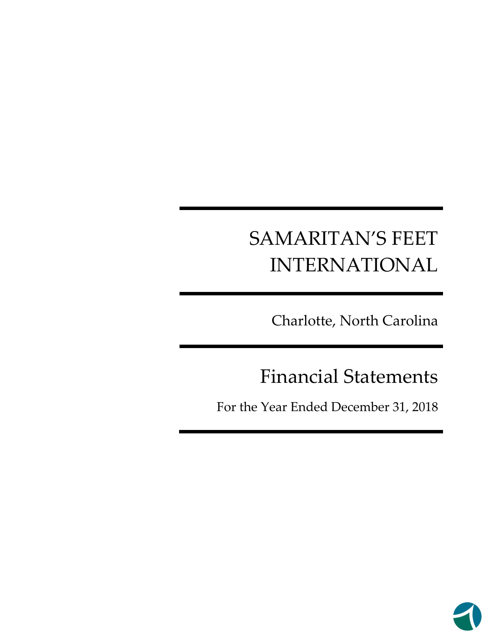Charlotte, North Carolina

# Financial Statements

For the Year Ended December 31, 2018

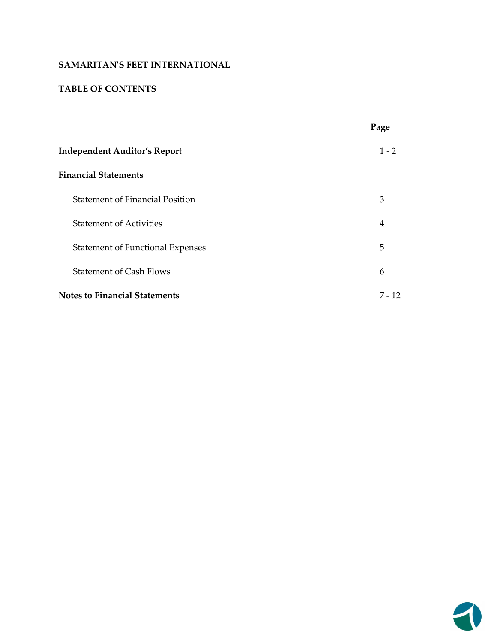#### **TABLE OF CONTENTS**

|                                         | Page     |
|-----------------------------------------|----------|
| <b>Independent Auditor's Report</b>     | $1 - 2$  |
| <b>Financial Statements</b>             |          |
| <b>Statement of Financial Position</b>  | 3        |
| <b>Statement of Activities</b>          | 4        |
| <b>Statement of Functional Expenses</b> | 5        |
| <b>Statement of Cash Flows</b>          | 6        |
| <b>Notes to Financial Statements</b>    | $7 - 12$ |

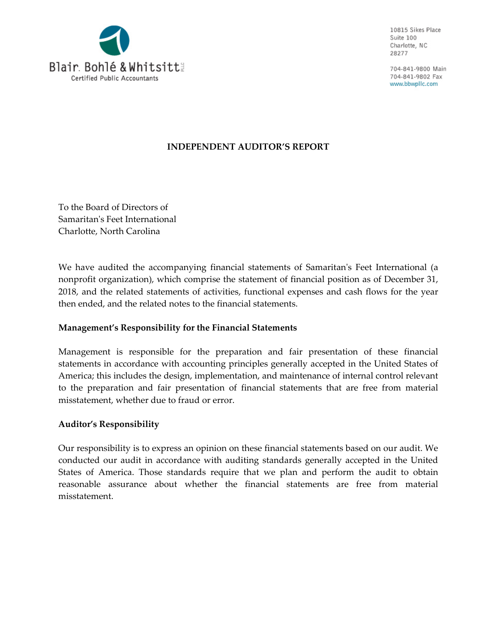

10815 Sikes Place Suite 100 Charlotte, NC 28277

704-841-9800 Main 704-841-9802 Fax www.bbwpllc.com

#### **INDEPENDENT AUDITOR'S REPORT**

To the Board of Directors of Samaritanʹs Feet International Charlotte, North Carolina

We have audited the accompanying financial statements of Samaritan's Feet International (a nonprofit organization), which comprise the statement of financial position as of December 31, 2018, and the related statements of activities, functional expenses and cash flows for the year then ended, and the related notes to the financial statements.

#### **Management's Responsibility for the Financial Statements**

Management is responsible for the preparation and fair presentation of these financial statements in accordance with accounting principles generally accepted in the United States of America; this includes the design, implementation, and maintenance of internal control relevant to the preparation and fair presentation of financial statements that are free from material misstatement, whether due to fraud or error.

#### **Auditor's Responsibility**

Our responsibility is to express an opinion on these financial statements based on our audit. We conducted our audit in accordance with auditing standards generally accepted in the United States of America. Those standards require that we plan and perform the audit to obtain reasonable assurance about whether the financial statements are free from material misstatement.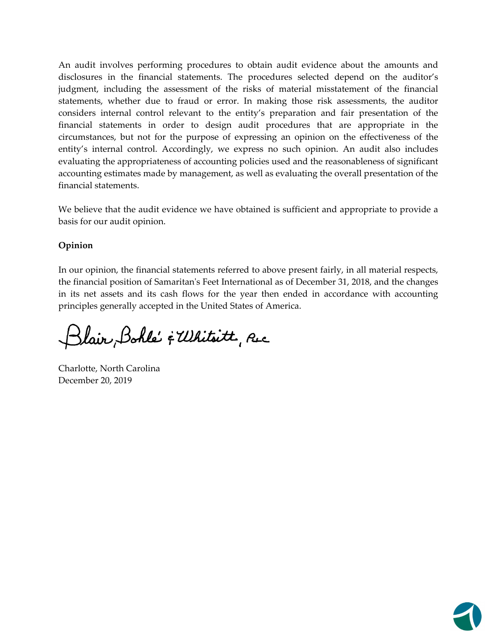An audit involves performing procedures to obtain audit evidence about the amounts and disclosures in the financial statements. The procedures selected depend on the auditor's judgment, including the assessment of the risks of material misstatement of the financial statements, whether due to fraud or error. In making those risk assessments, the auditor considers internal control relevant to the entity's preparation and fair presentation of the financial statements in order to design audit procedures that are appropriate in the circumstances, but not for the purpose of expressing an opinion on the effectiveness of the entity's internal control. Accordingly, we express no such opinion. An audit also includes evaluating the appropriateness of accounting policies used and the reasonableness of significant accounting estimates made by management, as well as evaluating the overall presentation of the financial statements.

We believe that the audit evidence we have obtained is sufficient and appropriate to provide a basis for our audit opinion.

## **Opinion**

In our opinion, the financial statements referred to above present fairly, in all material respects, the financial position of Samaritan's Feet International as of December 31, 2018, and the changes in its net assets and its cash flows for the year then ended in accordance with accounting principles generally accepted in the United States of America.

Blair Bohle' & Whitsitt, Rec

Charlotte, North Carolina December 20, 2019

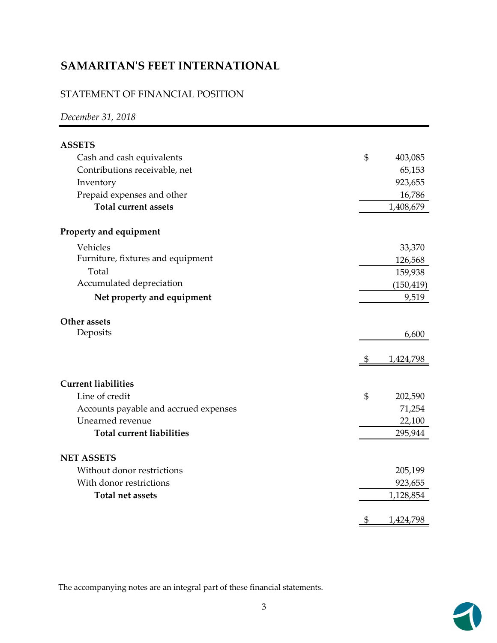# STATEMENT OF FINANCIAL POSITION

## *December 31, 2018*

| <b>ASSETS</b>                         |                 |
|---------------------------------------|-----------------|
| Cash and cash equivalents             | \$<br>403,085   |
| Contributions receivable, net         | 65,153          |
| Inventory                             | 923,655         |
| Prepaid expenses and other            | 16,786          |
| <b>Total current assets</b>           | 1,408,679       |
| Property and equipment                |                 |
| Vehicles                              | 33,370          |
| Furniture, fixtures and equipment     | 126,568         |
| Total                                 | 159,938         |
| Accumulated depreciation              | (150, 419)      |
| Net property and equipment            | 9,519           |
| Other assets                          |                 |
| Deposits                              | 6,600           |
|                                       | \$<br>1,424,798 |
| <b>Current liabilities</b>            |                 |
| Line of credit                        | \$<br>202,590   |
| Accounts payable and accrued expenses | 71,254          |
| Unearned revenue                      | 22,100          |
| <b>Total current liabilities</b>      | 295,944         |
| <b>NET ASSETS</b>                     |                 |
| Without donor restrictions            | 205,199         |
| With donor restrictions               | 923,655         |
| <b>Total net assets</b>               | 1,128,854       |
|                                       | \$<br>1,424,798 |

The accompanying notes are an integral part of these financial statements.

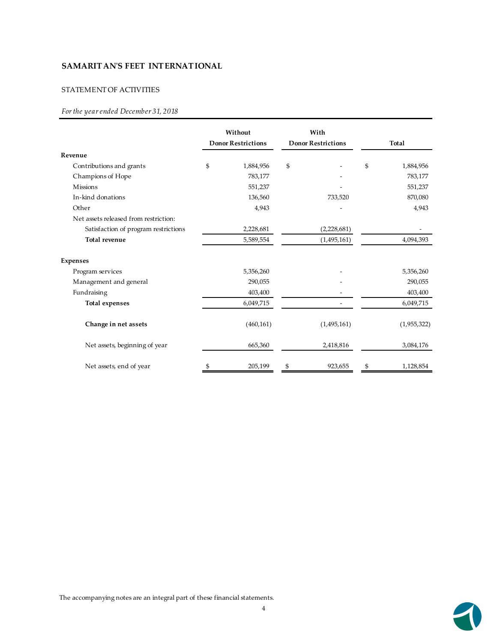#### STATEMENT OF ACTIVITIES

#### *For the year ended December 31, 2018*

|                                       | Without<br><b>Donor Restrictions</b> |            | With<br><b>Donor Restrictions</b> |               | Total           |
|---------------------------------------|--------------------------------------|------------|-----------------------------------|---------------|-----------------|
| Revenue                               |                                      |            |                                   |               |                 |
| Contributions and grants              | \$                                   | 1,884,956  | \$                                |               | \$<br>1,884,956 |
| Champions of Hope                     |                                      | 783,177    |                                   |               | 783,177         |
| <b>Missions</b>                       |                                      | 551,237    |                                   |               | 551,237         |
| In-kind donations                     |                                      | 136,560    |                                   | 733,520       | 870,080         |
| Other                                 |                                      | 4,943      |                                   |               | 4,943           |
| Net assets released from restriction: |                                      |            |                                   |               |                 |
| Satisfaction of program restrictions  |                                      | 2,228,681  |                                   | (2,228,681)   |                 |
| <b>Total revenue</b>                  |                                      | 5,589,554  |                                   | (1, 495, 161) | 4,094,393       |
| <b>Expenses</b>                       |                                      |            |                                   |               |                 |
| Program services                      |                                      | 5,356,260  |                                   |               | 5,356,260       |
| Management and general                |                                      | 290,055    |                                   |               | 290,055         |
| Fundraising                           |                                      | 403,400    |                                   |               | 403,400         |
| <b>Total expenses</b>                 |                                      | 6,049,715  |                                   |               | 6,049,715       |
| Change in net assets                  |                                      | (460, 161) |                                   | (1,495,161)   | (1,955,322)     |
| Net assets, beginning of year         |                                      | 665,360    |                                   | 2,418,816     | 3,084,176       |
| Net assets, end of year               |                                      | 205,199    |                                   | 923,655       | 1,128,854       |

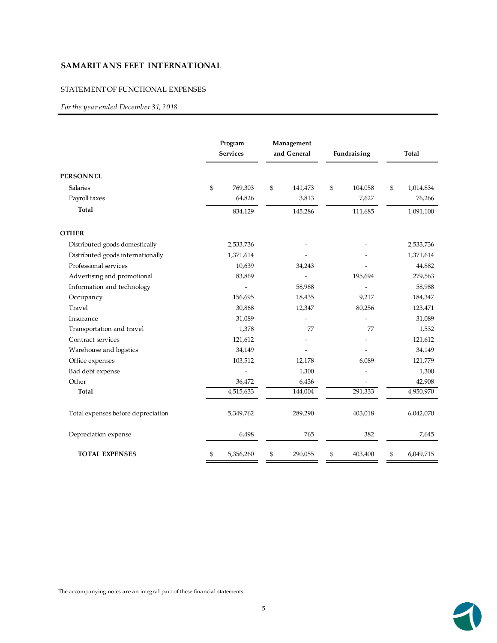#### STATEMENT OF FUNCTIONAL EXPENSES

*For the year ended December 31, 2018*

|                                    | Program<br><b>Services</b> | Management<br>and General | Fundraising   | Total           |
|------------------------------------|----------------------------|---------------------------|---------------|-----------------|
| <b>PERSONNEL</b>                   |                            |                           |               |                 |
| <b>Salaries</b>                    | \$<br>769,303              | \$<br>141,473             | \$<br>104,058 | \$<br>1,014,834 |
| Payroll taxes                      | 64,826                     | 3,813                     | 7,627         | 76,266          |
| Total                              | 834,129                    | 145,286                   | 111,685       | 1,091,100       |
| <b>OTHER</b>                       |                            |                           |               |                 |
| Distributed goods domestically     | 2,533,736                  |                           |               | 2,533,736       |
| Distributed goods internationally  | 1,371,614                  |                           |               | 1,371,614       |
| Professional services              | 10,639                     | 34,243                    |               | 44,882          |
| Advertising and promotional        | 83,869                     |                           | 195,694       | 279,563         |
| Information and technology         |                            | 58,988                    |               | 58,988          |
| Occupancy                          | 156,695                    | 18,435                    | 9,217         | 184,347         |
| Travel                             | 30,868                     | 12,347                    | 80,256        | 123,471         |
| Insurance                          | 31,089                     |                           |               | 31,089          |
| Transportation and travel          | 1,378                      | 77                        | 77            | 1,532           |
| Contract services                  | 121,612                    |                           |               | 121,612         |
| Warehouse and logistics            | 34,149                     |                           |               | 34,149          |
| Office expenses                    | 103,512                    | 12,178                    | 6,089         | 121,779         |
| Bad debt expense                   |                            | 1,300                     |               | 1,300           |
| Other                              | 36,472                     | 6,436                     |               | 42,908          |
| <b>Total</b>                       | 4,515,633                  | 144,004                   | 291,333       | 4,950,970       |
| Total expenses before depreciation | 5,349,762                  | 289,290                   | 403,018       | 6,042,070       |
| Depreciation expense               | 6,498                      | 765                       | 382           | 7,645           |
| <b>TOTAL EXPENSES</b>              | \$<br>5,356,260            | \$<br>290,055             | \$<br>403,400 | \$<br>6,049,715 |

The accompanying notes are an integral part of these financial statements.

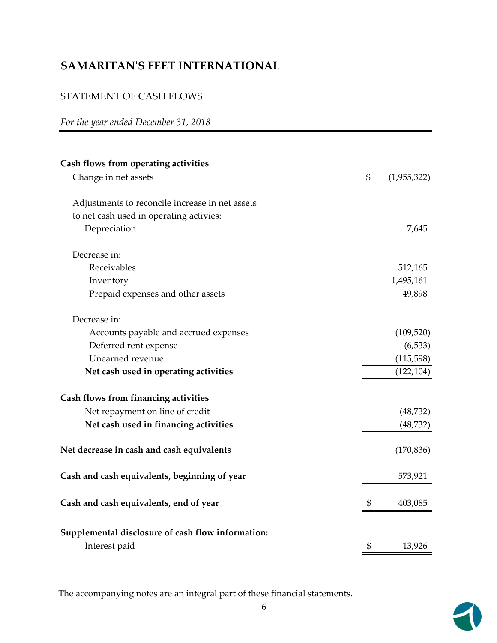# STATEMENT OF CASH FLOWS

# *For the year ended December 31, 2018*

| Cash flows from operating activities              |                   |
|---------------------------------------------------|-------------------|
| Change in net assets                              | \$<br>(1,955,322) |
| Adjustments to reconcile increase in net assets   |                   |
| to net cash used in operating activies:           |                   |
| Depreciation                                      | 7,645             |
| Decrease in:                                      |                   |
| Receivables                                       | 512,165           |
| Inventory                                         | 1,495,161         |
| Prepaid expenses and other assets                 | 49,898            |
| Decrease in:                                      |                   |
| Accounts payable and accrued expenses             | (109, 520)        |
| Deferred rent expense                             | (6, 533)          |
| Unearned revenue                                  | (115, 598)        |
| Net cash used in operating activities             | (122, 104)        |
| Cash flows from financing activities              |                   |
| Net repayment on line of credit                   | (48, 732)         |
| Net cash used in financing activities             | (48, 732)         |
| Net decrease in cash and cash equivalents         | (170, 836)        |
| Cash and cash equivalents, beginning of year      | 573,921           |
| Cash and cash equivalents, end of year            | \$<br>403,085     |
| Supplemental disclosure of cash flow information: |                   |
| Interest paid                                     | \$<br>13,926      |

The accompanying notes are an integral part of these financial statements.

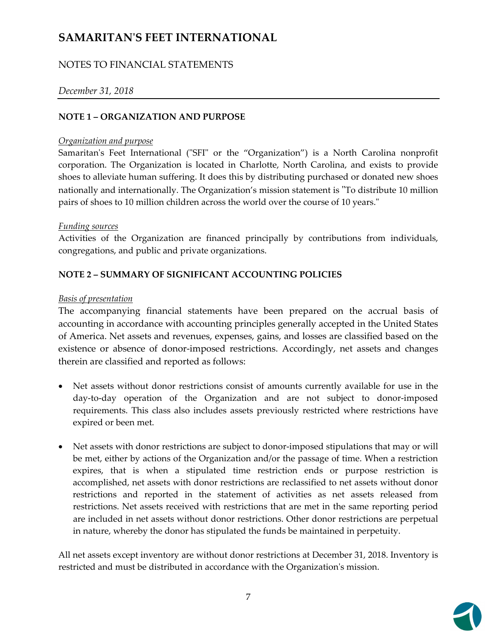# NOTES TO FINANCIAL STATEMENTS

### *December 31, 2018*

#### **NOTE 1 – ORGANIZATION AND PURPOSE**

#### *Organization and purpose*

Samaritan's Feet International ("SFI" or the "Organization") is a North Carolina nonprofit corporation. The Organization is located in Charlotte, North Carolina, and exists to provide shoes to alleviate human suffering. It does this by distributing purchased or donated new shoes nationally and internationally. The Organization's mission statement is "To distribute 10 million pairs of shoes to 10 million children across the world over the course of 10 years."

#### *Funding sources*

Activities of the Organization are financed principally by contributions from individuals, congregations, and public and private organizations.

#### **NOTE 2 – SUMMARY OF SIGNIFICANT ACCOUNTING POLICIES**

#### *Basis of presentation*

The accompanying financial statements have been prepared on the accrual basis of accounting in accordance with accounting principles generally accepted in the United States of America. Net assets and revenues, expenses, gains, and losses are classified based on the existence or absence of donor-imposed restrictions. Accordingly, net assets and changes therein are classified and reported as follows:

- Net assets without donor restrictions consist of amounts currently available for use in the day‐to‐day operation of the Organization and are not subject to donor‐imposed requirements. This class also includes assets previously restricted where restrictions have expired or been met.
- Net assets with donor restrictions are subject to donor-imposed stipulations that may or will be met, either by actions of the Organization and/or the passage of time. When a restriction expires, that is when a stipulated time restriction ends or purpose restriction is accomplished, net assets with donor restrictions are reclassified to net assets without donor restrictions and reported in the statement of activities as net assets released from restrictions. Net assets received with restrictions that are met in the same reporting period are included in net assets without donor restrictions. Other donor restrictions are perpetual in nature, whereby the donor has stipulated the funds be maintained in perpetuity.

All net assets except inventory are without donor restrictions at December 31, 2018. Inventory is restricted and must be distributed in accordance with the Organization's mission.

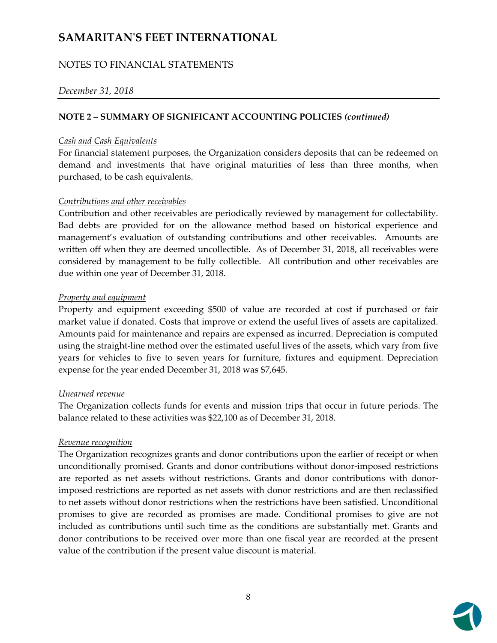## NOTES TO FINANCIAL STATEMENTS

#### *December 31, 2018*

#### **NOTE 2 – SUMMARY OF SIGNIFICANT ACCOUNTING POLICIES** *(continued)*

#### *Cash and Cash Equivalents*

For financial statement purposes, the Organization considers deposits that can be redeemed on demand and investments that have original maturities of less than three months, when purchased, to be cash equivalents.

#### *Contributions and other receivables*

Contribution and other receivables are periodically reviewed by management for collectability. Bad debts are provided for on the allowance method based on historical experience and management's evaluation of outstanding contributions and other receivables. Amounts are written off when they are deemed uncollectible. As of December 31, 2018, all receivables were considered by management to be fully collectible. All contribution and other receivables are due within one year of December 31, 2018.

#### *Property and equipment*

Property and equipment exceeding \$500 of value are recorded at cost if purchased or fair market value if donated. Costs that improve or extend the useful lives of assets are capitalized. Amounts paid for maintenance and repairs are expensed as incurred. Depreciation is computed using the straight‐line method over the estimated useful lives of the assets, which vary from five years for vehicles to five to seven years for furniture, fixtures and equipment. Depreciation expense for the year ended December 31, 2018 was \$7,645.

#### *Unearned revenue*

The Organization collects funds for events and mission trips that occur in future periods. The balance related to these activities was \$22,100 as of December 31, 2018. 

#### *Revenue recognition*

The Organization recognizes grants and donor contributions upon the earlier of receipt or when unconditionally promised. Grants and donor contributions without donor‐imposed restrictions are reported as net assets without restrictions. Grants and donor contributions with donor‐ imposed restrictions are reported as net assets with donor restrictions and are then reclassified to net assets without donor restrictions when the restrictions have been satisfied. Unconditional promises to give are recorded as promises are made. Conditional promises to give are not included as contributions until such time as the conditions are substantially met. Grants and donor contributions to be received over more than one fiscal year are recorded at the present value of the contribution if the present value discount is material.

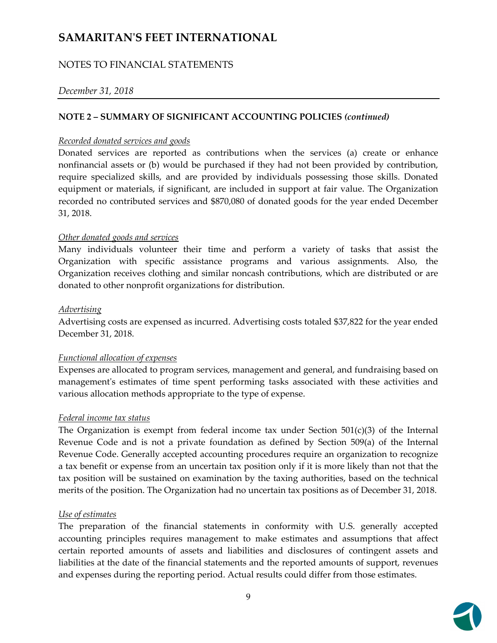## NOTES TO FINANCIAL STATEMENTS

#### *December 31, 2018*

#### **NOTE 2 – SUMMARY OF SIGNIFICANT ACCOUNTING POLICIES** *(continued)*

#### *Recorded donated services and goods*

Donated services are reported as contributions when the services (a) create or enhance nonfinancial assets or (b) would be purchased if they had not been provided by contribution, require specialized skills, and are provided by individuals possessing those skills. Donated equipment or materials, if significant, are included in support at fair value. The Organization recorded no contributed services and \$870,080 of donated goods for the year ended December 31, 2018.

#### *Other donated goods and services*

Many individuals volunteer their time and perform a variety of tasks that assist the Organization with specific assistance programs and various assignments. Also, the Organization receives clothing and similar noncash contributions, which are distributed or are donated to other nonprofit organizations for distribution.

#### *Advertising*

Advertising costs are expensed as incurred. Advertising costs totaled \$37,822 for the year ended December 31, 2018.

#### *Functional allocation of expenses*

Expenses are allocated to program services, management and general, and fundraising based on management's estimates of time spent performing tasks associated with these activities and various allocation methods appropriate to the type of expense.

#### *Federal income tax status*

The Organization is exempt from federal income tax under Section  $501(c)(3)$  of the Internal Revenue Code and is not a private foundation as defined by Section 509(a) of the Internal Revenue Code. Generally accepted accounting procedures require an organization to recognize a tax benefit or expense from an uncertain tax position only if it is more likely than not that the tax position will be sustained on examination by the taxing authorities, based on the technical merits of the position. The Organization had no uncertain tax positions as of December 31, 2018.

#### *Use of estimates*

The preparation of the financial statements in conformity with U.S. generally accepted accounting principles requires management to make estimates and assumptions that affect certain reported amounts of assets and liabilities and disclosures of contingent assets and liabilities at the date of the financial statements and the reported amounts of support, revenues and expenses during the reporting period. Actual results could differ from those estimates.

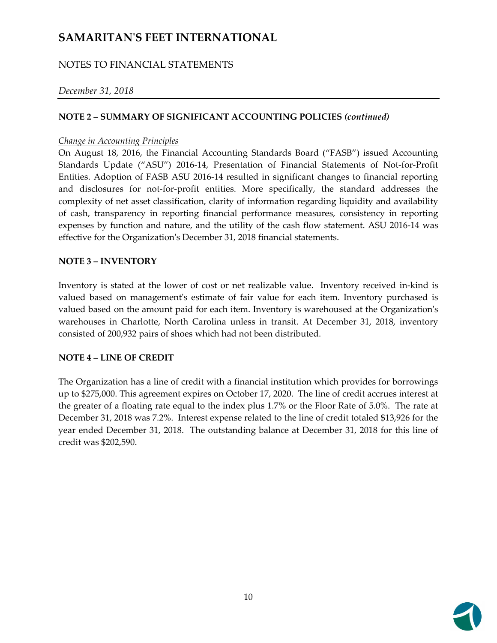# NOTES TO FINANCIAL STATEMENTS

#### *December 31, 2018*

#### **NOTE 2 – SUMMARY OF SIGNIFICANT ACCOUNTING POLICIES** *(continued)*

#### *Change in Accounting Principles*

On August 18, 2016, the Financial Accounting Standards Board ("FASB") issued Accounting Standards Update ("ASU") 2016-14, Presentation of Financial Statements of Not-for-Profit Entities. Adoption of FASB ASU 2016‐14 resulted in significant changes to financial reporting and disclosures for not-for-profit entities. More specifically, the standard addresses the complexity of net asset classification, clarity of information regarding liquidity and availability of cash, transparency in reporting financial performance measures, consistency in reporting expenses by function and nature, and the utility of the cash flow statement. ASU 2016‐14 was effective for the Organizationʹs December 31, 2018 financial statements.

#### **NOTE 3 – INVENTORY**

Inventory is stated at the lower of cost or net realizable value. Inventory received in‐kind is valued based on managementʹs estimate of fair value for each item. Inventory purchased is valued based on the amount paid for each item. Inventory is warehoused at the Organizationʹs warehouses in Charlotte, North Carolina unless in transit. At December 31, 2018, inventory consisted of 200,932 pairs of shoes which had not been distributed.

#### **NOTE 4 – LINE OF CREDIT**

The Organization has a line of credit with a financial institution which provides for borrowings up to \$275,000. This agreement expires on October 17, 2020. The line of credit accrues interest at the greater of a floating rate equal to the index plus 1.7% or the Floor Rate of 5.0%. The rate at December 31, 2018 was 7.2%. Interest expense related to the line of credit totaled \$13,926 for the year ended December 31, 2018. The outstanding balance at December 31, 2018 for this line of credit was \$202,590.

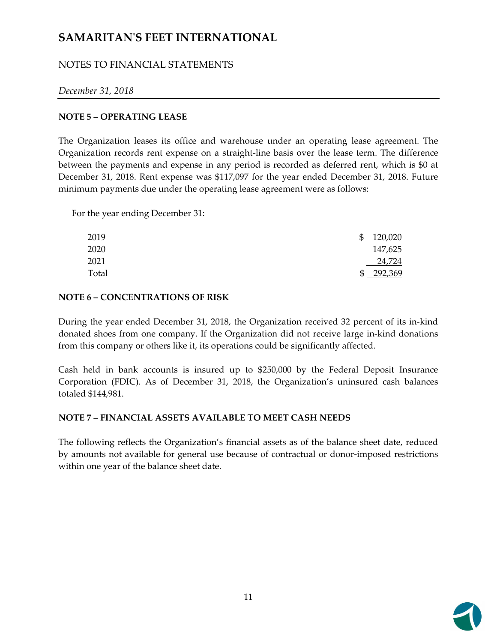# NOTES TO FINANCIAL STATEMENTS

## *December 31, 2018*

#### **NOTE 5 – OPERATING LEASE**

The Organization leases its office and warehouse under an operating lease agreement. The Organization records rent expense on a straight‐line basis over the lease term. The difference between the payments and expense in any period is recorded as deferred rent, which is \$0 at December 31, 2018. Rent expense was \$117,097 for the year ended December 31, 2018. Future minimum payments due under the operating lease agreement were as follows:

For the year ending December 31:

| 2019  | SS. | 120,020          |
|-------|-----|------------------|
| 2020  |     | 147,625          |
| 2021  |     | 24,724           |
| Total |     | 292,369<br>-292. |

#### **NOTE 6 – CONCENTRATIONS OF RISK**

During the year ended December 31, 2018, the Organization received 32 percent of its in‐kind donated shoes from one company. If the Organization did not receive large in‐kind donations from this company or others like it, its operations could be significantly affected.

Cash held in bank accounts is insured up to \$250,000 by the Federal Deposit Insurance Corporation (FDIC). As of December 31, 2018, the Organization's uninsured cash balances totaled \$144,981.

# **NOTE 7 – FINANCIAL ASSETS AVAILABLE TO MEET CASH NEEDS**

The following reflects the Organization's financial assets as of the balance sheet date, reduced by amounts not available for general use because of contractual or donor‐imposed restrictions within one year of the balance sheet date.